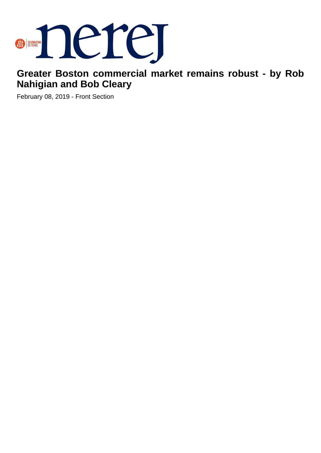

## **Greater Boston commercial market remains robust - by Rob Nahigian and Bob Cleary**

February 08, 2019 - Front Section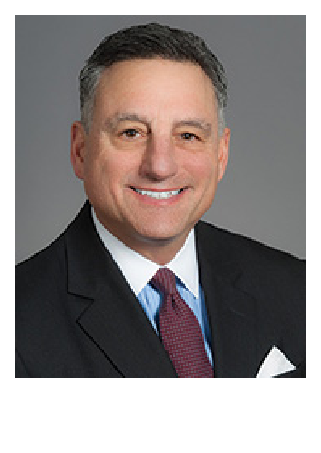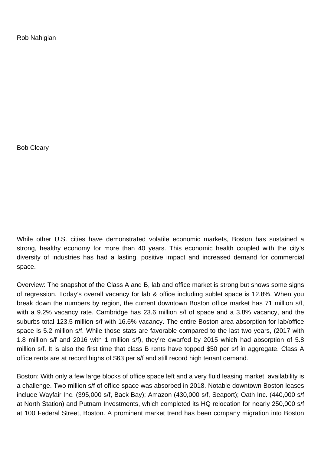Rob Nahigian

Bob Cleary

While other U.S. cities have demonstrated volatile economic markets, Boston has sustained a strong, healthy economy for more than 40 years. This economic health coupled with the city's diversity of industries has had a lasting, positive impact and increased demand for commercial space.

Overview: The snapshot of the Class A and B, lab and office market is strong but shows some signs of regression. Today's overall vacancy for lab & office including sublet space is 12.8%. When you break down the numbers by region, the current downtown Boston office market has 71 million s/f, with a 9.2% vacancy rate. Cambridge has 23.6 million s/f of space and a 3.8% vacancy, and the suburbs total 123.5 million s/f with 16.6% vacancy. The entire Boston area absorption for lab/office space is 5.2 million s/f. While those stats are favorable compared to the last two years, (2017 with 1.8 million s/f and 2016 with 1 million s/f), they're dwarfed by 2015 which had absorption of 5.8 million s/f. It is also the first time that class B rents have topped \$50 per s/f in aggregate. Class A office rents are at record highs of \$63 per s/f and still record high tenant demand.

Boston: With only a few large blocks of office space left and a very fluid leasing market, availability is a challenge. Two million s/f of office space was absorbed in 2018. Notable downtown Boston leases include Wayfair Inc. (395,000 s/f, Back Bay); Amazon (430,000 s/f, Seaport); Oath Inc. (440,000 s/f at North Station) and Putnam Investments, which completed its HQ relocation for nearly 250,000 s/f at 100 Federal Street, Boston. A prominent market trend has been company migration into Boston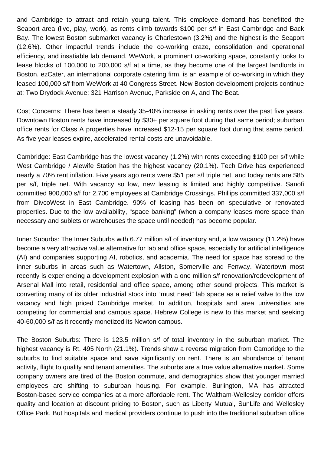and Cambridge to attract and retain young talent. This employee demand has benefitted the Seaport area (live, play, work), as rents climb towards \$100 per s/f in East Cambridge and Back Bay. The lowest Boston submarket vacancy is Charlestown (3.2%) and the highest is the Seaport (12.6%). Other impactful trends include the co-working craze, consolidation and operational efficiency, and insatiable lab demand. WeWork, a prominent co-working space, constantly looks to lease blocks of 100,000 to 200,000 s/f at a time, as they become one of the largest landlords in Boston. ezCater, an international corporate catering firm, is an example of co-working in which they leased 100,000 s/f from WeWork at 40 Congress Street. New Boston development projects continue at: Two Drydock Avenue; 321 Harrison Avenue, Parkside on A, and The Beat.

Cost Concerns: There has been a steady 35-40% increase in asking rents over the past five years. Downtown Boston rents have increased by \$30+ per square foot during that same period; suburban office rents for Class A properties have increased \$12-15 per square foot during that same period. As five year leases expire, accelerated rental costs are unavoidable.

Cambridge: East Cambridge has the lowest vacancy (1.2%) with rents exceeding \$100 per s/f while West Cambridge / Alewife Station has the highest vacancy (20.1%). Tech Drive has experienced nearly a 70% rent inflation. Five years ago rents were \$51 per s/f triple net, and today rents are \$85 per s/f, triple net. With vacancy so low, new leasing is limited and highly competitive. Sanofi committed 900,000 s/f for 2,700 employees at Cambridge Crossings. Phillips committed 337,000 s/f from DivcoWest in East Cambridge. 90% of leasing has been on speculative or renovated properties. Due to the low availability, "space banking" (when a company leases more space than necessary and sublets or warehouses the space until needed) has become popular.

Inner Suburbs: The Inner Suburbs with 6.77 million s/f of inventory and, a low vacancy (11.2%) have become a very attractive value alternative for lab and office space, especially for artificial intelligence (AI) and companies supporting AI, robotics, and academia. The need for space has spread to the inner suburbs in areas such as Watertown, Allston, Somerville and Fenway. Watertown most recently is experiencing a development explosion with a one million s/f renovation/redevelopment of Arsenal Mall into retail, residential and office space, among other sound projects. This market is converting many of its older industrial stock into "must need" lab space as a relief valve to the low vacancy and high priced Cambridge market. In addition, hospitals and area universities are competing for commercial and campus space. Hebrew College is new to this market and seeking 40-60,000 s/f as it recently monetized its Newton campus.

The Boston Suburbs: There is 123.5 million s/f of total inventory in the suburban market. The highest vacancy is Rt. 495 North (21.1%). Trends show a reverse migration from Cambridge to the suburbs to find suitable space and save significantly on rent. There is an abundance of tenant activity, flight to quality and tenant amenities. The suburbs are a true value alternative market. Some company owners are tired of the Boston commute, and demographics show that younger married employees are shifting to suburban housing. For example, Burlington, MA has attracted Boston-based service companies at a more affordable rent. The Waltham-Wellesley corridor offers quality and location at discount pricing to Boston, such as Liberty Mutual, SunLife and Wellesley Office Park. But hospitals and medical providers continue to push into the traditional suburban office